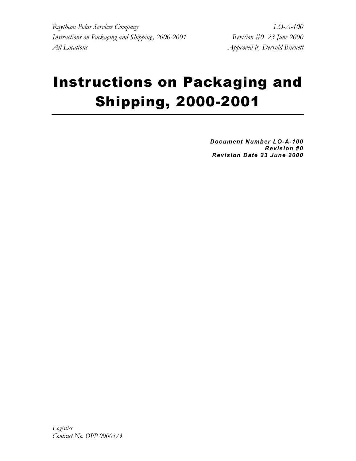*Raytheon Polar Services Company LO-A-100 Instructions on Packaging and Shipping, 2000-2001* Revision #0 23 June 2000 *All Locations Approved by Derrold Burnett* 

# Instructions on Packaging and Shipping, 2000-2001

*Document Number LO-A-100 Revision #0 Revision Date 23 June 2000*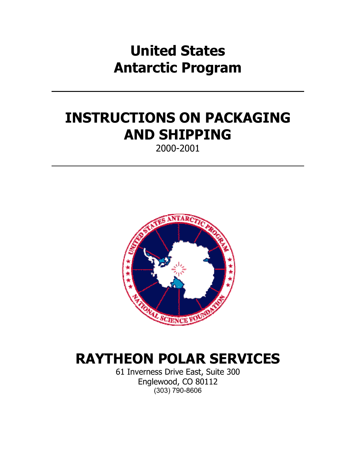# **United States Antarctic Program**

## **INSTRUCTIONS ON PACKAGING AND SHIPPING**

2000-2001



# **RAYTHEON POLAR SERVICES**

61 Inverness Drive East, Suite 300 Englewood, CO 80112 (303) 790-8606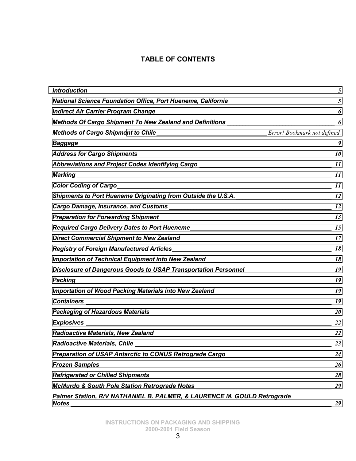## **TABLE OF CONTENTS**

|                                                                                                                | <u> La Carlo Carlo Carlo Carlo Carlo Carlo Carlo Carlo Carlo Carlo Carlo Carlo Carlo Carlo Carlo Carlo Carlo Carlo</u> |
|----------------------------------------------------------------------------------------------------------------|------------------------------------------------------------------------------------------------------------------------|
|                                                                                                                |                                                                                                                        |
|                                                                                                                |                                                                                                                        |
|                                                                                                                |                                                                                                                        |
|                                                                                                                |                                                                                                                        |
|                                                                                                                |                                                                                                                        |
|                                                                                                                |                                                                                                                        |
|                                                                                                                |                                                                                                                        |
|                                                                                                                |                                                                                                                        |
|                                                                                                                |                                                                                                                        |
| Shipments to Port Hueneme Originating from Outside the U.S.A. [19] [2009] [2009] [2009] [2009] [2009] [2009] [ |                                                                                                                        |
|                                                                                                                |                                                                                                                        |
|                                                                                                                |                                                                                                                        |
|                                                                                                                |                                                                                                                        |
|                                                                                                                |                                                                                                                        |
| Registry of Foreign Manufactured Articles Manufactured Articles 2014 18                                        |                                                                                                                        |
|                                                                                                                |                                                                                                                        |
|                                                                                                                |                                                                                                                        |
|                                                                                                                | - 19                                                                                                                   |
|                                                                                                                |                                                                                                                        |
|                                                                                                                |                                                                                                                        |
|                                                                                                                |                                                                                                                        |
|                                                                                                                | -22                                                                                                                    |
| Radioactive Materials, New Zealand New Season and Season and Season and Season and Season and Season and Seaso | <b>22</b>                                                                                                              |
| <b>Radioactive Materials, Chile</b>                                                                            | <b>23</b>                                                                                                              |
| Preparation of USAP Antarctic to CONUS Retrograde Cargo ________________________                               | 24                                                                                                                     |
| <b>Frozen Samples</b> 26                                                                                       |                                                                                                                        |
|                                                                                                                | 28                                                                                                                     |
| McMurdo & South Pole Station Retrograde Notes __________________________________                               | 29                                                                                                                     |
| Palmer Station, R/V NATHANIEL B. PALMER, & LAURENCE M. GOULD Retrograde<br><b>Notes</b>                        | 29                                                                                                                     |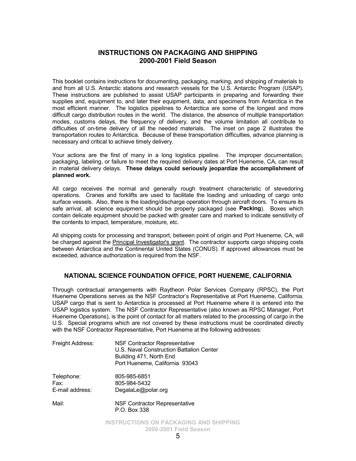## **INSTRUCTIONS ON PACKAGING AND SHIPPING 2000-2001 Field Season**

<span id="page-4-0"></span>This booklet contains instructions for documenting, packaging, marking, and shipping of materials to and from all U.S. Antarctic stations and research vessels for the U.S. Antarctic Program (USAP). These instructions are published to assist USAP participants in preparing and forwarding their supplies and, equipment to, and later their equipment, data, and specimens from Antarctica in the most efficient manner. The logistics pipelines to Antarctica are some of the longest and more difficult cargo distribution routes in the world. The distance, the absence of multiple transportation modes, customs delays, the frequency of delivery, and the volume limitation all contribute to difficulties of on-time delivery of all the needed materials. The inset on page 2 illustrates the transportation routes to Antarctica. Because of these transportation difficulties, advance planning is necessary and critical to achieve timely delivery.

Your actions are the first of many in a long logistics pipeline. The improper documentation, packaging, labeling, or failure to meet the required delivery dates at Port Hueneme, CA, can result in material delivery delays. **These delays could seriously jeopardize the accomplishment of planned work.**

All cargo receives the normal and generally rough treatment characteristic of stevedoring operations. Cranes and forklifts are used to facilitate the loading and unloading of cargo onto surface vessels. Also, there is the loading/discharge operation through aircraft doors. To ensure its safe arrival, all science equipment should be properly packaged (see **Packing**). Boxes which contain delicate equipment should be packed with greater care and marked to indicate sensitivity of the contents to impact, temperature, moisture, etc.

All shipping costs for processing and transport, between point of origin and Port Hueneme, CA, will be charged against the **Principal Investigator's grant**. The contractor supports cargo shipping costs between Antarctica and the Continental United States (CONUS). If approved allowances must be exceeded, advance authorization is required from the NSF.

#### **NATIONAL SCIENCE FOUNDATION OFFICE, PORT HUENEME, CALIFORNIA**

Through contractual arrangements with Raytheon Polar Services Company (RPSC), the Port Hueneme Operations serves as the NSF Contractor's Representative at Port Hueneme, California. USAP cargo that is sent to Antarctica is processed at Port Hueneme where it is entered into the USAP logistics system. The NSF Contractor Representative (also known as RPSC Manager, Port Hueneme Operations), is the point of contact for all matters related to the processing of cargo in the U.S. Special programs which are not covered by these instructions must be coordinated directly with the NSF Contractor Representative, Port Hueneme at the following addresses:

| Freight Address:                      | <b>NSF Contractor Representative</b><br>U.S. Naval Construction Battalion Center<br>Building 471, North End<br>Port Hueneme, California 93043 |
|---------------------------------------|-----------------------------------------------------------------------------------------------------------------------------------------------|
| Telephone:<br>Fax:<br>E-mail address: | 805-985-6851<br>805-984-5432<br>DegalaLe@polar.org                                                                                            |
| Mail:                                 | <b>NSF Contractor Representative</b><br>P.O. Box 338                                                                                          |

**INSTRUCTIONS ON PACKAGING AND SHIPPING 2000-2001 Field Season**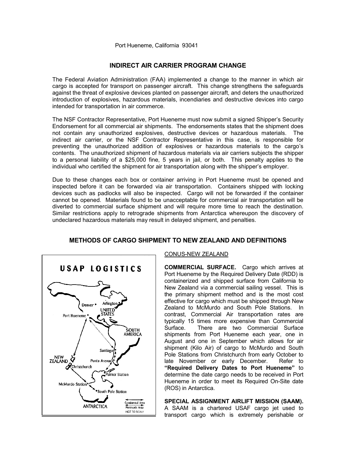#### Port Hueneme, California 93041

#### **INDIRECT AIR CARRIER PROGRAM CHANGE**

<span id="page-5-0"></span>The Federal Aviation Administration (FAA) implemented a change to the manner in which air cargo is accepted for transport on passenger aircraft. This change strengthens the safeguards against the threat of explosive devices planted on passenger aircraft, and deters the unauthorized introduction of explosives, hazardous materials, incendiaries and destructive devices into cargo intended for transportation in air commerce.

The NSF Contractor Representative, Port Hueneme must now submit a signed Shipper's Security Endorsement for all commercial air shipments. The endorsements states that the shipment does not contain any unauthorized explosives, destructive devices or hazardous materials. The indirect air carrier, or the NSF Contractor Representative in this case, is responsible for preventing the unauthorized addition of explosives or hazardous materials to the cargo's contents. The unauthorized shipment of hazardous materials via air carriers subjects the shipper to a personal liability of a \$25,000 fine, 5 years in jail, or both. This penalty applies to the individual who certified the shipment for air transportation along with the shipper's employer.

Due to these changes each box or container arriving in Port Hueneme must be opened and inspected before it can be forwarded via air transportation. Containers shipped with locking devices such as padlocks will also be inspected. Cargo will not be forwarded if the container cannot be opened. Materials found to be unacceptable for commercial air transportation will be diverted to commercial surface shipment and will require more time to reach the destination. Similar restrictions apply to retrograde shipments from Antarctica whereupon the discovery of undeclared hazardous materials may result in delayed shipment, and penalties.

## **METHODS OF CARGO SHIPMENT TO NEW ZEALAND AND DEFINITIONS**



#### CONUS-NEW ZEALAND

**COMMERCIAL SURFACE.** Cargo which arrives at Port Hueneme by the Required Delivery Date (RDD) is containerized and shipped surface from California to New Zealand via a commercial sailing vessel. This is the primary shipment method and is the most cost effective for cargo which must be shipped through New Zealand to McMurdo and South Pole Stations. In contrast, Commercial Air transportation rates are typically 15 times more expensive than Commercial Surface. There are two Commercial Surface shipments from Port Hueneme each year, one in August and one in September which allows for air shipment (Kilo Air) of cargo to McMurdo and South Pole Stations from Christchurch from early October to late November or early December. Refer to **"Required Delivery Dates to Port Hueneme"** to determine the date cargo needs to be received in Port Hueneme in order to meet its Required On-Site date (ROS) in Antarctica.

**SPECIAL ASSIGNMENT AIRLIFT MISSION (SAAM).**  A SAAM is a chartered USAF cargo jet used to transport cargo which is extremely perishable or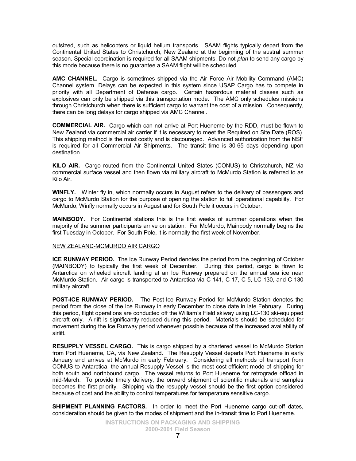outsized, such as helicopters or liquid helium transports. SAAM flights typically depart from the Continental United States to Christchurch, New Zealand at the beginning of the austral summer season. Special coordination is required for all SAAM shipments. Do not *plan* to send any cargo by this mode because there is no guarantee a SAAM flight will be scheduled.

**AMC CHANNEL.** Cargo is sometimes shipped via the Air Force Air Mobility Command (AMC) Channel system. Delays can be expected in this system since USAP Cargo has to compete in priority with all Department of Defense cargo. Certain hazardous material classes such as explosives can only be shipped via this transportation mode. The AMC only schedules missions through Christchurch when there is sufficient cargo to warrant the cost of a mission. Consequently, there can be long delays for cargo shipped via AMC Channel.

**COMMERCIAL AIR.** Cargo which can not arrive at Port Hueneme by the RDD, must be flown to New Zealand via commercial air carrier if it is necessary to meet the Required on Site Date (ROS). This shipping method is the most costly and is discouraged. Advanced authorization from the NSF is required for all Commercial Air Shipments. The transit time is 30-65 days depending upon destination.

**KILO AIR.** Cargo routed from the Continental United States (CONUS) to Christchurch, NZ via commercial surface vessel and then flown via military aircraft to McMurdo Station is referred to as Kilo Air.

**WINFLY.** Winter fly in, which normally occurs in August refers to the delivery of passengers and cargo to McMurdo Station for the purpose of opening the station to full operational capability. For McMurdo, Winfly normally occurs in August and for South Pole it occurs in October.

**MAINBODY.** For Continental stations this is the first weeks of summer operations when the majority of the summer participants arrive on station. For McMurdo, Mainbody normally begins the first Tuesday in October. For South Pole, it is normally the first week of November.

#### NEW ZEALAND-MCMURDO AIR CARGO

**ICE RUNWAY PERIOD.** The Ice Runway Period denotes the period from the beginning of October (MAINBODY) to typically the first week of December. During this period, cargo is flown to Antarctica on wheeled aircraft landing at an Ice Runway prepared on the annual sea ice near McMurdo Station. Air cargo is transported to Antarctica via C-141, C-17, C-5, LC-130, and C-130 military aircraft.

**POST-ICE RUNWAY PERIOD.** The Post-Ice Runway Period for McMurdo Station denotes the period from the close of the Ice Runway in early December to close date in late February. During this period, flight operations are conducted off the William's Field skiway using LC-130 ski-equipped aircraft only. Airlift is significantly reduced during this period. Materials should be scheduled for movement during the Ice Runway period whenever possible because of the increased availability of airlift.

**RESUPPLY VESSEL CARGO.** This is cargo shipped by a chartered vessel to McMurdo Station from Port Hueneme, CA, via New Zealand. The Resupply Vessel departs Port Hueneme in early January and arrives at McMurdo in early February. Considering all methods of transport from CONUS to Antarctica, the annual Resupply Vessel is the most cost-efficient mode of shipping for both south and northbound cargo. The vessel returns to Port Hueneme for retrograde offload in mid-March. To provide timely delivery, the onward shipment of scientific materials and samples becomes the first priority. Shipping via the resupply vessel should be the first option considered because of cost and the ability to control temperatures for temperature sensitive cargo.

**SHIPMENT PLANNING FACTORS.** In order to meet the Port Hueneme cargo cut-off dates, consideration should be given to the modes of shipment and the in-transit time to Port Hueneme.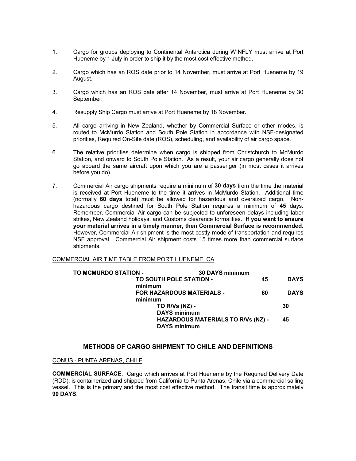- 1. Cargo for groups deploying to Continental Antarctica during WINFLY must arrive at Port Hueneme by 1 July in order to ship it by the most cost effective method.
- 2. Cargo which has an ROS date prior to 14 November, must arrive at Port Hueneme by 19 August.
- 3. Cargo which has an ROS date after 14 November, must arrive at Port Hueneme by 30 September.
- 4. Resupply Ship Cargo must arrive at Port Hueneme by 18 November.
- 5. All cargo arriving in New Zealand, whether by Commercial Surface or other modes, is routed to McMurdo Station and South Pole Station in accordance with NSF-designated priorities, Required On-Site date (ROS), scheduling, and availability of air cargo space.
- 6. The relative priorities determine when cargo is shipped from Christchurch to McMurdo Station, and onward to South Pole Station. As a result, your air cargo generally does not go aboard the same aircraft upon which you are a passenger (in most cases it arrives before you do).
- 7. Commercial Air cargo shipments require a minimum of **30 days** from the time the material is received at Port Hueneme to the time it arrives in McMurdo Station. Additional time (normally **60 days** total) must be allowed for hazardous and oversized cargo. Nonhazardous cargo destined for South Pole Station requires a minimum of **45** days. Remember, Commercial Air cargo can be subjected to unforeseen delays including labor strikes, New Zealand holidays, and Customs clearance formalities. **If you want to ensure your material arrives in a timely manner, then Commercial Surface is recommended.** However, Commercial Air shipment is the most costly mode of transportation and requires NSF approval. Commercial Air shipment costs 15 times more than commercial surface shipments.

#### COMMERCIAL AIR TIME TABLE FROM PORT HUENEME, CA

| TO SOUTH POLE STATION -          | 45                  | <b>DAYS</b>                                                         |
|----------------------------------|---------------------|---------------------------------------------------------------------|
| <b>FOR HAZARDOUS MATERIALS -</b> | 60                  | <b>DAYS</b>                                                         |
| <b>TO R/Vs (NZ) -</b>            |                     | 30                                                                  |
| <b>DAYS</b> minimum              |                     | 45                                                                  |
|                                  | <b>DAYS</b> minimum | <b>30 DAYS minimum</b><br><b>HAZARDOUS MATERIALS TO R/Vs (NZ) -</b> |

#### **METHODS OF CARGO SHIPMENT TO CHILE AND DEFINITIONS**

CONUS - PUNTA ARENAS, CHILE

**COMMERCIAL SURFACE.** Cargo which arrives at Port Hueneme by the Required Delivery Date (RDD), is containerized and shipped from California to Punta Arenas, Chile via a commercial sailing vessel. This is the primary and the most cost effective method. The transit time is approximately **90 DAYS**.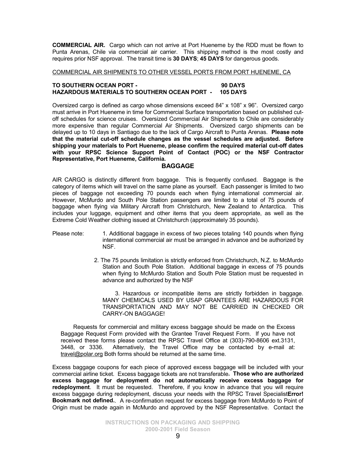<span id="page-8-0"></span>**COMMERCIAL AIR.** Cargo which can not arrive at Port Hueneme by the RDD must be flown to Punta Arenas, Chile via commercial air carrier. This shipping method is the most costly and requires prior NSF approval. The transit time is **30 DAYS**; **45 DAYS** for dangerous goods.

COMMERCIAL AIR SHIPMENTS TO OTHER VESSEL PORTS FROM PORT HUENEME, CA

#### **TO SOUTHERN OCEAN PORT - 90 DAYS HAZARDOUS MATERIALS TO SOUTHERN OCEAN PORT - 105 DAYS**

Oversized cargo is defined as cargo whose dimensions exceed 84" x 108" x 96". Oversized cargo must arrive in Port Hueneme in time for Commercial Surface transportation based on published cutoff schedules for science cruises. Oversized Commercial Air Shipments to Chile are considerably more expensive than regular Commercial Air Shipments. Oversized cargo shipments can be delayed up to 10 days in Santiago due to the lack of Cargo Aircraft to Punta Arenas. **Please note that the material cut-off schedule changes as the vessel schedules are adjusted. Before shipping your materials to Port Hueneme, please confirm the required material cut-off dates with your RPSC Science Support Point of Contact (POC) or the NSF Contractor Representative, Port Hueneme, California.**

#### **BAGGAGE**

AIR CARGO is distinctly different from baggage. This is frequently confused. Baggage is the category of items which will travel on the same plane as yourself. Each passenger is limited to two pieces of baggage not exceeding 70 pounds each when flying international commercial air. However, McMurdo and South Pole Station passengers are limited to a total of 75 pounds of baggage when flying via Military Aircraft from Christchurch, New Zealand to Antarctica. This includes your luggage, equipment and other items that you deem appropriate, as well as the Extreme Cold Weather clothing issued at Christchurch (approximately 35 pounds).

- Please note: 1. Additional baggage in excess of two pieces totaling 140 pounds when flying international commercial air must be arranged in advance and be authorized by NSF.
	- 2. The 75 pounds limitation is strictly enforced from Christchurch, N.Z. to McMurdo Station and South Pole Station. Additional baggage in excess of 75 pounds when flying to McMurdo Station and South Pole Station must be requested in advance and authorized by the NSF

 3. Hazardous or incompatible items are strictly forbidden in baggage. MANY CHEMICALS USED BY USAP GRANTEES ARE HAZARDOUS FOR TRANSPORTATION AND MAY NOT BE CARRIED IN CHECKED OR CARRY-ON BAGGAGE!

 Requests for commercial and military excess baggage should be made on the Excess Baggage Request Form provided with the Grantee Travel Request Form. If you have not received these forms please contact the RPSC Travel Office at (303)-790-8606 ext.3131, 3448, or 3336. Alternatively, the Travel Office may be contacted by e-mail at: travel@polar.org Both forms should be returned at the same time.

Excess baggage coupons for each piece of approved excess baggage will be included with your commercial airline ticket. Excess baggage tickets are not transferable**. Those who are authorized excess baggage for deployment do not automatically receive excess baggage for redeployment**. It must be requested. Therefore, if you know in advance that you will require excess baggage during redeployment, discuss your needs with the RPSC Travel Specialist**Error! Bookmark not defined.**. A re-confirmation request for excess baggage from McMurdo to Point of Origin must be made again in McMurdo and approved by the NSF Representative. Contact the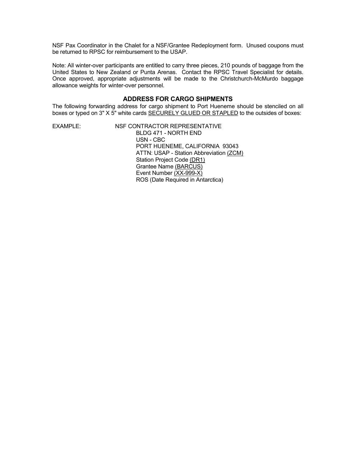<span id="page-9-0"></span>NSF Pax Coordinator in the Chalet for a NSF/Grantee Redeployment form. Unused coupons must be returned to RPSC for reimbursement to the USAP.

Note: All winter-over participants are entitled to carry three pieces, 210 pounds of baggage from the United States to New Zealand or Punta Arenas. Contact the RPSC Travel Specialist for details. Once approved, appropriate adjustments will be made to the Christchurch-McMurdo baggage allowance weights for winter-over personnel.

#### **ADDRESS FOR CARGO SHIPMENTS**

The following forwarding address for cargo shipment to Port Hueneme should be stenciled on all boxes or typed on 3" X 5" white cards **SECURELY GLUED OR STAPLED** to the outsides of boxes:

EXAMPLE: NSF CONTRACTOR REPRESENTATIVE BLDG 471 - NORTH END USN - CBC PORT HUENEME, CALIFORNIA 93043 ATTN: USAP - Station Abbreviation (ZCM) Station Project Code (DR1) Grantee Name (BARCUS) Event Number (XX-999-X) ROS (Date Required in Antarctica)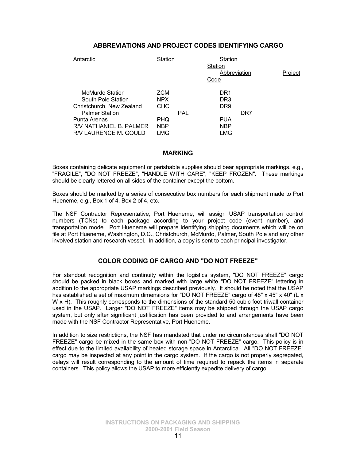## **ABBREVIATIONS AND PROJECT CODES IDENTIFYING CARGO**

<span id="page-10-0"></span>

| Antarctic                                                                                                                                                              | Station                                                                    |            | Station<br>Station<br>Abbreviation<br>Code                                        |     | Project |
|------------------------------------------------------------------------------------------------------------------------------------------------------------------------|----------------------------------------------------------------------------|------------|-----------------------------------------------------------------------------------|-----|---------|
| <b>McMurdo Station</b><br>South Pole Station<br>Christchurch, New Zealand<br><b>Palmer Station</b><br>Punta Arenas<br>R/V NATHANIEL B. PALMER<br>R/V LAURENCE M. GOULD | <b>ZCM</b><br>NPX.<br><b>CHC</b><br><b>PHQ</b><br><b>NBP</b><br><b>LMG</b> | <b>PAL</b> | DR <sub>1</sub><br>DR <sub>3</sub><br>DR <sub>9</sub><br>PUA<br><b>NBP</b><br>LMG | DR7 |         |

#### **MARKING**

Boxes containing delicate equipment or perishable supplies should bear appropriate markings, e.g., "FRAGILE", "DO NOT FREEZE", "HANDLE WITH CARE", "KEEP FROZEN". These markings should be clearly lettered on all sides of the container except the bottom.

Boxes should be marked by a series of consecutive box numbers for each shipment made to Port Hueneme, e.g., Box 1 of 4, Box 2 of 4, etc.

The NSF Contractor Representative, Port Hueneme, will assign USAP transportation control numbers (TCNs) to each package according to your project code (event number), and transportation mode. Port Hueneme will prepare identifying shipping documents which will be on file at Port Hueneme, Washington, D.C., Christchurch, McMurdo, Palmer, South Pole and any other involved station and research vessel. In addition, a copy is sent to each principal investigator.

## **COLOR CODING OF CARGO AND "DO NOT FREEZE"**

For standout recognition and continuity within the logistics system, "DO NOT FREEZE" cargo should be packed in black boxes and marked with large white "DO NOT FREEZE" lettering in addition to the appropriate USAP markings described previously. It should be noted that the USAP has established a set of maximum dimensions for "DO NOT FREEZE" cargo of 48" x 45" x 40" (L x W x H). This roughly corresponds to the dimensions of the standard 50 cubic foot triwall container used in the USAP. Larger "DO NOT FREEZE" items may be shipped through the USAP cargo system, but only after significant justification has been provided to and arrangements have been made with the NSF Contractor Representative, Port Hueneme.

In addition to size restrictions, the NSF has mandated that under no circumstances shall "DO NOT FREEZE" cargo be mixed in the same box with non-"DO NOT FREEZE" cargo. This policy is in effect due to the limited availability of heated storage space in Antarctica. All "DO NOT FREEZE" cargo may be inspected at any point in the cargo system. If the cargo is not properly segregated, delays will result corresponding to the amount of time required to repack the items in separate containers. This policy allows the USAP to more efficiently expedite delivery of cargo.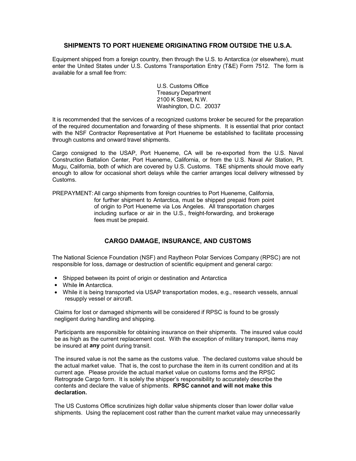## <span id="page-11-0"></span>**SHIPMENTS TO PORT HUENEME ORIGINATING FROM OUTSIDE THE U.S.A.**

Equipment shipped from a foreign country, then through the U.S. to Antarctica (or elsewhere), must enter the United States under U.S. Customs Transportation Entry (T&E) Form 7512. The form is available for a small fee from:

> U.S. Customs Office Treasury Department 2100 K Street, N.W. Washington, D.C. 20037

It is recommended that the services of a recognized customs broker be secured for the preparation of the required documentation and forwarding of these shipments. It is essential that prior contact with the NSF Contractor Representative at Port Hueneme be established to facilitate processing through customs and onward travel shipments.

Cargo consigned to the USAP, Port Hueneme, CA will be re-exported from the U.S. Naval Construction Battalion Center, Port Hueneme, California, or from the U.S. Naval Air Station, Pt. Mugu, California, both of which are covered by U.S. Customs. T&E shipments should move early enough to allow for occasional short delays while the carrier arranges local delivery witnessed by Customs.

PREPAYMENT: All cargo shipments from foreign countries to Port Hueneme, California, for further shipment to Antarctica, must be shipped prepaid from point of origin to Port Hueneme via Los Angeles. All transportation charges including surface or air in the U.S., freight-forwarding, and brokerage fees must be prepaid.

## **CARGO DAMAGE, INSURANCE, AND CUSTOMS**

The National Science Foundation (NSF) and Raytheon Polar Services Company (RPSC) are not responsible for loss, damage or destruction of scientific equipment and general cargo:

- Shipped between its point of origin or destination and Antarctica
- While **in** Antarctica.
- While it is being transported via USAP transportation modes, e.g., research vessels, annual resupply vessel or aircraft.

Claims for lost or damaged shipments will be considered if RPSC is found to be grossly negligent during handling and shipping.

Participants are responsible for obtaining insurance on their shipments. The insured value could be as high as the current replacement cost. With the exception of military transport, items may be insured at **any** point during transit.

The insured value is not the same as the customs value. The declared customs value should be the actual market value. That is, the cost to purchase the item in its current condition and at its current age. Please provide the actual market value on customs forms and the RPSC Retrograde Cargo form. It is solely the shipper's responsibility to accurately describe the contents and declare the value of shipments. **RPSC cannot and will not make this declaration.** 

The US Customs Office scrutinizes high dollar value shipments closer than lower dollar value shipments. Using the replacement cost rather than the current market value may unnecessarily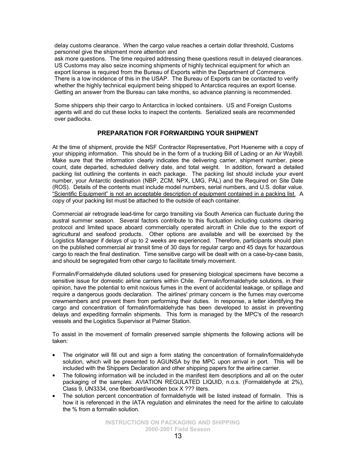<span id="page-12-0"></span>delay customs clearance. When the cargo value reaches a certain dollar threshold, Customs personnel give the shipment more attention and

ask more questions. The time required addressing these questions result in delayed clearances. US Customs may also seize incoming shipments of highly technical equipment for which an export license is required from the Bureau of Exports within the Department of Commerce. There is a low incidence of this in the USAP. The Bureau of Exports can be contacted to verify whether the highly technical equipment being shipped to Antarctica requires an export license. Getting an answer from the Bureau can take months, so advance planning is recommended.

Some shippers ship their cargo to Antarctica in locked containers. US and Foreign Customs agents will and do cut these locks to inspect the contents. Serialized seals are recommended over padlocks.

## **PREPARATION FOR FORWARDING YOUR SHIPMENT**

At the time of shipment, provide the NSF Contractor Representative, Port Hueneme with a copy of your shipping information. This should be in the form of a trucking Bill of Lading or an Air Waybill. Make sure that the information clearly indicates the delivering carrier, shipment number, piece count, date departed, scheduled delivery date, and total weight. In addition, forward a detailed packing list outlining the contents in each package. The packing list should include your event number, your Antarctic destination (NBP, ZCM, NPX, LMG, PAL) and the Required on Site Date (ROS). Details of the contents must include model numbers, serial numbers, and U.S. dollar value. "Scientific Equipment" is not an acceptable description of equipment contained in a packing list. A copy of your packing list must be attached to the outside of each container.

Commercial air retrograde lead-time for cargo transiting via South America can fluctuate during the austral summer season. Several factors contribute to this fluctuation including customs clearing protocol and limited space aboard commercially operated aircraft in Chile due to the export of agricultural and seafood products. Other options are available and will be exercised by the Logistics Manager if delays of up to 2 weeks are experienced. Therefore, participants should plan on the published commercial air transit time of 30 days for regular cargo and 45 days for hazardous cargo to reach the final destination. Time sensitive cargo will be dealt with on a case-by-case basis, and should be segregated from other cargo to facilitate timely movement.

Formalin/Formaldehyde diluted solutions used for preserving biological specimens have become a sensitive issue for domestic airline carriers within Chile. Formalin/formaldehyde solutions, in their opinion, have the potential to emit noxious fumes in the event of accidental leakage, or spillage and require a dangerous goods declaration. The airlines' primary concern is the fumes may overcome crewmembers and prevent them from performing their duties. In response, a letter identifying the cargo and concentration of formalin/formaldehyde has been developed to assist in preventing delays and expediting formalin shipments. This form is managed by the MPC's of the research vessels and the Logistics Supervisor at Palmer Station.

To assist in the movement of formalin preserved sample shipments the following actions will be taken:

- The originator will fill out and sign a form stating the concentration of formalin/formaldehyde solution, which will be presented to AGUNSA by the MPC upon arrival in port. This will be included with the Shippers Declaration and other shipping papers for the airline carrier.
- The following information will be included in the manifest item descriptions and all on the outer packaging of the samples: AVIATION REGULATED LIQUID, n.o.s. (Formaldehyde at 2%), Class 9, UN3334, one fiberboard/wooden box X ??? liters.
- The solution percent concentration of formaldehyde will be listed instead of formalin. This is how it is referenced in the IATA regulation and eliminates the need for the airline to calculate the % from a formalin solution.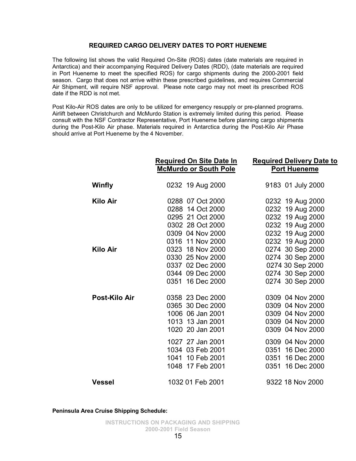## **REQUIRED CARGO DELIVERY DATES TO PORT HUENEME**

<span id="page-14-0"></span>The following list shows the valid Required On-Site (ROS) dates (date materials are required in Antarctica) and their accompanying Required Delivery Dates (RDD), (date materials are required in Port Hueneme to meet the specified ROS) for cargo shipments during the 2000-2001 field season. Cargo that does not arrive within these prescribed guidelines, and requires Commercial Air Shipment, will require NSF approval. Please note cargo may not meet its prescribed ROS date if the RDD is not met.

Post Kilo-Air ROS dates are only to be utilized for emergency resupply or pre-planned programs. Airlift between Christchurch and McMurdo Station is extremely limited during this period. Please consult with the NSF Contractor Representative, Port Hueneme before planning cargo shipments during the Post-Kilo Air phase. Materials required in Antarctica during the Post-Kilo Air Phase should arrive at Port Hueneme by the 4 November.

|                 | <b>Required On Site Date In</b>                                                                                                                                                  | <b>Required Delivery Date to</b>                                                                                                                                                 |
|-----------------|----------------------------------------------------------------------------------------------------------------------------------------------------------------------------------|----------------------------------------------------------------------------------------------------------------------------------------------------------------------------------|
|                 | <b>McMurdo or South Pole</b>                                                                                                                                                     | <b>Port Hueneme</b>                                                                                                                                                              |
| <b>Winfly</b>   | 0232 19 Aug 2000                                                                                                                                                                 | 9183 01 July 2000                                                                                                                                                                |
| <b>Kilo Air</b> | 0288 07 Oct 2000<br>0288 14 Oct 2000<br>0295 21 Oct 2000<br>0302 28 Oct 2000<br>0309 04 Nov 2000<br>0316 11 Nov 2000                                                             | 0232 19 Aug 2000<br>0232 19 Aug 2000<br>0232 19 Aug 2000<br>0232 19 Aug 2000<br>0232 19 Aug 2000<br>0232 19 Aug 2000                                                             |
| <b>Kilo Air</b> | 0323 18 Nov 2000<br>0330 25 Nov 2000<br>0337 02 Dec 2000<br>0344 09 Dec 2000<br>0351 16 Dec 2000                                                                                 | 0274 30 Sep 2000<br>0274 30 Sep 2000<br>0274 30 Sep 2000<br>0274 30 Sep 2000<br>0274 30 Sep 2000                                                                                 |
| Post-Kilo Air   | 0358 23 Dec 2000<br>0365 30 Dec 2000<br>1006 06 Jan 2001<br>1013 13 Jan 2001<br>1020 20 Jan 2001<br>1027 27 Jan 2001<br>1034 03 Feb 2001<br>1041 10 Feb 2001<br>1048 17 Feb 2001 | 0309 04 Nov 2000<br>0309 04 Nov 2000<br>0309 04 Nov 2000<br>0309 04 Nov 2000<br>0309 04 Nov 2000<br>0309 04 Nov 2000<br>0351 16 Dec 2000<br>0351 16 Dec 2000<br>0351 16 Dec 2000 |
| <b>Vessel</b>   | 1032 01 Feb 2001                                                                                                                                                                 | 9322 18 Nov 2000                                                                                                                                                                 |

**Peninsula Area Cruise Shipping Schedule:**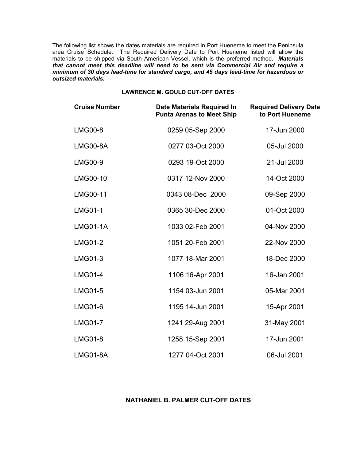The following list shows the dates materials are required in Port Hueneme to meet the Peninsula area Cruise Schedule. The Required Delivery Date to Port Hueneme listed will allow the materials to be shipped via South American Vessel, which is the preferred method. *Materials that cannot meet this deadline will need to be sent via Commercial Air and require a minimum of 30 days lead-time for standard cargo, and 45 days lead-time for hazardous or outsized materials.*

## **LAWRENCE M. GOULD CUT-OFF DATES**

| <b>Cruise Number</b> | <b>Date Materials Required In</b><br><b>Punta Arenas to Meet Ship</b> | <b>Required Delivery Date</b><br>to Port Hueneme |
|----------------------|-----------------------------------------------------------------------|--------------------------------------------------|
| <b>LMG00-8</b>       | 0259 05-Sep 2000                                                      | 17-Jun 2000                                      |
| <b>LMG00-8A</b>      | 0277 03-Oct 2000                                                      | 05-Jul 2000                                      |
| <b>LMG00-9</b>       | 0293 19-Oct 2000                                                      | 21-Jul 2000                                      |
| LMG00-10             | 0317 12-Nov 2000                                                      | 14-Oct 2000                                      |
| LMG00-11             | 0343 08-Dec 2000                                                      | 09-Sep 2000                                      |
| <b>LMG01-1</b>       | 0365 30-Dec 2000                                                      | 01-Oct 2000                                      |
| <b>LMG01-1A</b>      | 1033 02-Feb 2001                                                      | 04-Nov 2000                                      |
| <b>LMG01-2</b>       | 1051 20-Feb 2001                                                      | 22-Nov 2000                                      |
| <b>LMG01-3</b>       | 1077 18-Mar 2001                                                      | 18-Dec 2000                                      |
| <b>LMG01-4</b>       | 1106 16-Apr 2001                                                      | 16-Jan 2001                                      |
| <b>LMG01-5</b>       | 1154 03-Jun 2001                                                      | 05-Mar 2001                                      |
| <b>LMG01-6</b>       | 1195 14-Jun 2001                                                      | 15-Apr 2001                                      |
| <b>LMG01-7</b>       | 1241 29-Aug 2001                                                      | 31-May 2001                                      |
| <b>LMG01-8</b>       | 1258 15-Sep 2001                                                      | 17-Jun 2001                                      |
| LMG01-8A             | 1277 04-Oct 2001                                                      | 06-Jul 2001                                      |

## **NATHANIEL B. PALMER CUT-OFF DATES**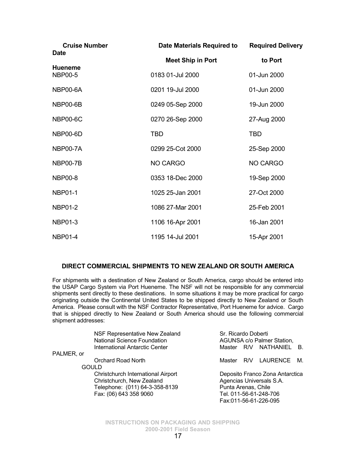<span id="page-16-0"></span>

| <b>Cruise Number</b><br><b>Date</b> | Date Materials Required to | <b>Required Delivery</b> |  |
|-------------------------------------|----------------------------|--------------------------|--|
|                                     | <b>Meet Ship in Port</b>   | to Port                  |  |
| <b>Hueneme</b><br><b>NBP00-5</b>    | 0183 01-Jul 2000           | 01-Jun 2000              |  |
| NBP00-6A                            | 0201 19-Jul 2000           | 01-Jun 2000              |  |
| NBP00-6B                            | 0249 05-Sep 2000           | 19-Jun 2000              |  |
| <b>NBP00-6C</b>                     | 0270 26-Sep 2000           | 27-Aug 2000              |  |
| <b>NBP00-6D</b>                     | <b>TBD</b>                 | <b>TBD</b>               |  |
| <b>NBP00-7A</b>                     | 0299 25-Cot 2000           | 25-Sep 2000              |  |
| <b>NBP00-7B</b>                     | NO CARGO                   | NO CARGO                 |  |
| <b>NBP00-8</b>                      | 0353 18-Dec 2000           | 19-Sep 2000              |  |
| <b>NBP01-1</b>                      | 1025 25-Jan 2001           | 27-Oct 2000              |  |
| <b>NBP01-2</b>                      | 1086 27-Mar 2001           | 25-Feb 2001              |  |
| <b>NBP01-3</b>                      | 1106 16-Apr 2001           | 16-Jan 2001              |  |
| <b>NBP01-4</b>                      | 1195 14-Jul 2001           | 15-Apr 2001              |  |

#### **DIRECT COMMERCIAL SHIPMENTS TO NEW ZEALAND OR SOUTH AMERICA**

For shipments with a destination of New Zealand or South America, cargo should be entered into the USAP Cargo System via Port Hueneme. The NSF will not be responsible for any commercial shipments sent directly to these destinations. In some situations it may be more practical for cargo originating outside the Continental United States to be shipped directly to New Zealand or South America. Please consult with the NSF Contractor Representative, Port Hueneme for advice. Cargo that is shipped directly to New Zealand or South America should use the following commercial shipment addresses:

|            | NSF Representative New Zealand<br>National Science Foundation<br>International Antarctic Center | Sr. Ricardo Doberti |                                                 | AGUNSA c/o Palmer Station,<br>Master R/V NATHANIEL B. |    |
|------------|-------------------------------------------------------------------------------------------------|---------------------|-------------------------------------------------|-------------------------------------------------------|----|
| PALMER, or |                                                                                                 |                     |                                                 |                                                       |    |
|            | Orchard Road North                                                                              | Master              |                                                 | R/V LAURENCE                                          | M. |
|            | <b>GOULD</b>                                                                                    |                     |                                                 |                                                       |    |
|            | Christchurch International Airport                                                              |                     | Deposito Franco Zona Antarctica                 |                                                       |    |
|            | Christchurch, New Zealand                                                                       |                     | Agencias Universals S.A.<br>Punta Arenas, Chile |                                                       |    |
|            | Telephone: (011) 64-3-358-8139                                                                  |                     |                                                 |                                                       |    |
|            | Fax: (06) 643 358 9060                                                                          |                     | Tel. 011-56-61-248-706                          |                                                       |    |
|            |                                                                                                 |                     |                                                 | Fax:011-56-61-226-095                                 |    |
|            |                                                                                                 |                     |                                                 |                                                       |    |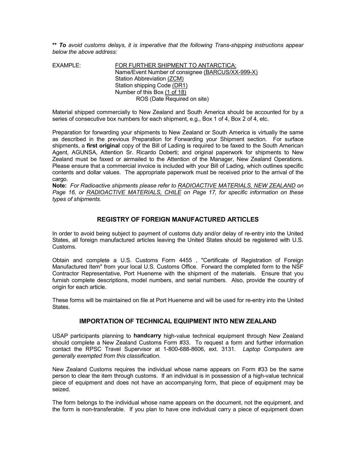<span id="page-17-0"></span>**\*\*** *To avoid customs delays, it is imperative that the following Trans-shipping instructions appear below the above address:* 

EXAMPLE: FOR FURTHER SHIPMENT TO ANTARCTICA: Name/Event Number of consignee (BARCUS/XX-999-X) Station Abbreviation (ZCM) Station shipping Code (DR1) Number of this Box (1 of 18) ROS (Date Required on site)

Material shipped commercially to New Zealand and South America should be accounted for by a series of consecutive box numbers for each shipment, e.g., Box 1 of 4, Box 2 of 4, etc.

Preparation for forwarding your shipments to New Zealand or South America is virtually the same as described in the previous Preparation for Forwarding your Shipment section. For surface shipments, a **first original** copy of the Bill of Lading is required to be faxed to the South American Agent, AGUNSA, Attention Sr. Ricardo Doberti; and original paperwork for shipments to New Zealand must be faxed or airmailed to the Attention of the Manager, New Zealand Operations. Please ensure that a commercial invoice is included with your Bill of Lading, which outlines specific contents and dollar values. The appropriate paperwork must be received prior to the arrival of the cargo.

**Note:** *For Radioactive shipments please refer to RADIOACTIVE MATERIALS, NEW ZEALAND on Page 16, or RADIOACTIVE MATERIALS, CHILE on Page 17, for specific information on these types of shipments.* 

## **REGISTRY OF FOREIGN MANUFACTURED ARTICLES**

In order to avoid being subject to payment of customs duty and/or delay of re-entry into the United States, all foreign manufactured articles leaving the United States should be registered with U.S. Customs.

Obtain and complete a U.S. Customs Form 4455 , "Certificate of Registration of Foreign Manufactured Item" from your local U.S. Customs Office. Forward the completed form to the NSF Contractor Representative, Port Hueneme with the shipment of the materials. Ensure that you furnish complete descriptions, model numbers, and serial numbers. Also, provide the country of origin for each article.

These forms will be maintained on file at Port Hueneme and will be used for re-entry into the United States.

## **IMPORTATION OF TECHNICAL EQUIPMENT INTO NEW ZEALAND**

USAP participants planning to **handcarry** high-value technical equipment through New Zealand should complete a New Zealand Customs Form #33. To request a form and further information contact the RPSC Travel Supervisor at 1-800-688-8606, ext. 3131. *Laptop Computers are generally exempted from this classification.*

New Zealand Customs requires the individual whose name appears on Form #33 be the same person to clear the item through customs. If an individual is in possession of a high-value technical piece of equipment and does not have an accompanying form, that piece of equipment may be seized.

The form belongs to the individual whose name appears on the document, not the equipment, and the form is non-transferable. If you plan to have one individual carry a piece of equipment down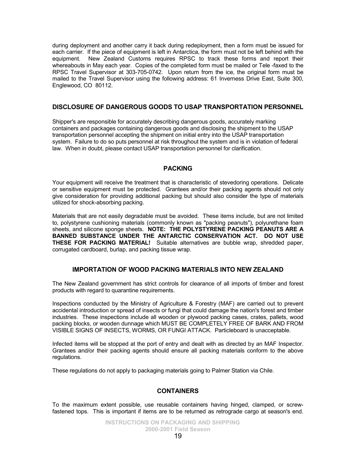<span id="page-18-0"></span>during deployment and another carry it back during redeployment, then a form must be issued for each carrier. If the piece of equipment is left in Antarctica, the form must not be left behind with the equipment. New Zealand Customs requires RPSC to track these forms and report their whereabouts in May each year. Copies of the completed form must be mailed or Tele -faxed to the RPSC Travel Supervisor at 303-705-0742. Upon return from the ice, the original form must be mailed to the Travel Supervisor using the following address: 61 Inverness Drive East, Suite 300, Englewood, CO 80112.

## **DISCLOSURE OF DANGEROUS GOODS TO USAP TRANSPORTATION PERSONNEL**

Shipper's are responsible for accurately describing dangerous goods, accurately marking containers and packages containing dangerous goods and disclosing the shipment to the USAP transportation personnel accepting the shipment on initial entry into the USAP transportation system. Failure to do so puts personnel at risk throughout the system and is in violation of federal law. When in doubt, please contact USAP transportation personnel for clarification.

## **PACKING**

Your equipment will receive the treatment that is characteristic of stevedoring operations. Delicate or sensitive equipment must be protected. Grantees and/or their packing agents should not only give consideration for providing additional packing but should also consider the type of materials utilized for shock-absorbing packing.

Materials that are not easily degradable must be avoided. These items include, but are not limited to, polystyrene cushioning materials (commonly known as "packing peanuts"), polyurethane foam sheets, and silicone sponge sheets. **NOTE: THE POLYSTYRENE PACKING PEANUTS ARE A BANNED SUBSTANCE UNDER THE ANTARCTIC CONSERVATION ACT. DO NOT USE THESE FOR PACKING MATERIAL!** Suitable alternatives are bubble wrap, shredded paper, corrugated cardboard, burlap, and packing tissue wrap.

#### **IMPORTATION OF WOOD PACKING MATERIALS INTO NEW ZEALAND**

The New Zealand government has strict controls for clearance of all imports of timber and forest products with regard to quarantine requirements.

Inspections conducted by the Ministry of Agriculture & Forestry (MAF) are carried out to prevent accidental introduction or spread of insects or fungi that could damage the nation's forest and timber industries. These inspections include all wooden or plywood packing cases, crates, pallets, wood packing blocks, or wooden dunnage which MUST BE COMPLETELY FREE OF BARK AND FROM VISIBLE SIGNS OF INSECTS, WORMS, OR FUNGI ATTACK. Particleboard is unacceptable.

Infected items will be stopped at the port of entry and dealt with as directed by an MAF Inspector. Grantees and/or their packing agents should ensure all packing materials conform to the above regulations.

These regulations do not apply to packaging materials going to Palmer Station via Chile.

## **CONTAINERS**

To the maximum extent possible, use reusable containers having hinged, clamped, or screwfastened tops. This is important if items are to be returned as retrograde cargo at season's end.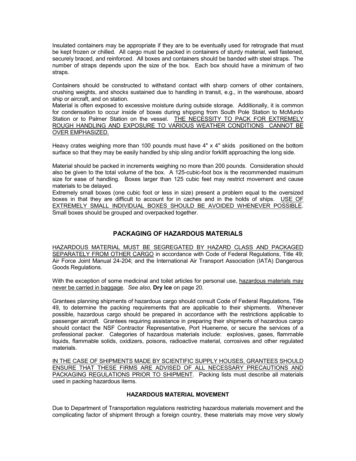<span id="page-19-0"></span>Insulated containers may be appropriate if they are to be eventually used for retrograde that must be kept frozen or chilled. All cargo must be packed in containers of sturdy material, well fastened, securely braced, and reinforced. All boxes and containers should be banded with steel straps. The number of straps depends upon the size of the box. Each box should have a minimum of two straps.

Containers should be constructed to withstand contact with sharp corners of other containers, crushing weights, and shocks sustained due to handling in transit, e.g., in the warehouse, aboard ship or aircraft, and on station.

Material is often exposed to excessive moisture during outside storage. Additionally, it is common for condensation to occur inside of boxes during shipping from South Pole Station to McMurdo Station or to Palmer Station on the vessel. THE NECESSITY TO PACK FOR EXTREMELY ROUGH HANDLING AND EXPOSURE TO VARIOUS WEATHER CONDITIONS CANNOT BE OVER EMPHASIZED.

Heavy crates weighing more than 100 pounds must have 4" x 4" skids positioned on the bottom surface so that they may be easily handled by ship sling and/or forklift approaching the long side.

Material should be packed in increments weighing no more than 200 pounds. Consideration should also be given to the total volume of the box. A 125-cubic-foot box is the recommended maximum size for ease of handling. Boxes larger than 125 cubic feet may restrict movement and cause materials to be delayed.

Extremely small boxes (one cubic foot or less in size) present a problem equal to the oversized boxes in that they are difficult to account for in caches and in the holds of ships. USE OF EXTREMELY SMALL INDIVIDUAL BOXES SHOULD BE AVOIDED WHENEVER POSSIBLE. Small boxes should be grouped and overpacked together.

## **PACKAGING OF HAZARDOUS MATERIALS**

HAZARDOUS MATERIAL MUST BE SEGREGATED BY HAZARD CLASS AND PACKAGED SEPARATELY FROM OTHER CARGO in accordance with Code of Federal Regulations, Title 49; Air Force Joint Manual 24-204; and the International Air Transport Association (IATA) Dangerous Goods Regulations.

With the exception of some medicinal and toilet articles for personal use, hazardous materials may never be carried in baggage. *See also,* **Dry Ice** on page 20.

Grantees planning shipments of hazardous cargo should consult Code of Federal Regulations, Title 49, to determine the packing requirements that are applicable to their shipments. Whenever possible, hazardous cargo should be prepared in accordance with the restrictions applicable to passenger aircraft. Grantees requiring assistance in preparing their shipments of hazardous cargo should contact the NSF Contractor Representative, Port Hueneme, or secure the services of a professional packer. Categories of hazardous materials include: explosives, gases, flammable liquids, flammable solids, oxidizers, poisons, radioactive material, corrosives and other regulated materials.

IN THE CASE OF SHIPMENTS MADE BY SCIENTIFIC SUPPLY HOUSES, GRANTEES SHOULD ENSURE THAT THESE FIRMS ARE ADVISED OF ALL NECESSARY PRECAUTIONS AND PACKAGING REGULATIONS PRIOR TO SHIPMENT. Packing lists must describe all materials used in packing hazardous items.

#### **HAZARDOUS MATERIAL MOVEMENT**

Due to Department of Transportation regulations restricting hazardous materials movement and the complicating factor of shipment through a foreign country, these materials may move very slowly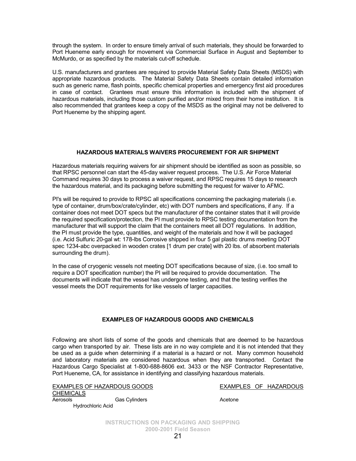through the system. In order to ensure timely arrival of such materials, they should be forwarded to Port Hueneme early enough for movement via Commercial Surface in August and September to McMurdo, or as specified by the materials cut-off schedule.

U.S. manufacturers and grantees are required to provide Material Safety Data Sheets (MSDS) with appropriate hazardous products. The Material Safety Data Sheets contain detailed information such as generic name, flash points, specific chemical properties and emergency first aid procedures in case of contact. Grantees must ensure this information is included with the shipment of hazardous materials, including those custom purified and/or mixed from their home institution. It is also recommended that grantees keep a copy of the MSDS as the original may not be delivered to Port Hueneme by the shipping agent.

#### **HAZARDOUS MATERIALS WAIVERS PROCUREMENT FOR AIR SHIPMENT**

Hazardous materials requiring waivers for air shipment should be identified as soon as possible, so that RPSC personnel can start the 45-day waiver request process. The U.S. Air Force Material Command requires 30 days to process a waiver request, and RPSC requires 15 days to research the hazardous material, and its packaging before submitting the request for waiver to AFMC.

PI's will be required to provide to RPSC all specifications concerning the packaging materials (i.e. type of container, drum/box/crate/cylinder, etc) with DOT numbers and specifications, if any. If a container does not meet DOT specs but the manufacturer of the container states that it will provide the required specification/protection, the PI must provide to RPSC testing documentation from the manufacturer that will support the claim that the containers meet all DOT regulations. In addition, the PI must provide the type, quantities, and weight of the materials and how it will be packaged (i.e. Acid Sulfuric 20-gal wt: 178-lbs Corrosive shipped in four 5 gal plastic drums meeting DOT spec 1234-abc overpacked in wooden crates [1 drum per crate] with 20 lbs. of absorbent materials surrounding the drum).

In the case of cryogenic vessels not meeting DOT specifications because of size, (i.e. too small to require a DOT specification number) the PI will be required to provide documentation. The documents will indicate that the vessel has undergone testing, and that the testing verifies the vessel meets the DOT requirements for like vessels of larger capacities.

#### **EXAMPLES OF HAZARDOUS GOODS AND CHEMICALS**

Following are short lists of some of the goods and chemicals that are deemed to be hazardous cargo when transported by air. These lists are in no way complete and it is not intended that they be used as a guide when determining if a material is a hazard or not. Many common household and laboratory materials are considered hazardous when they are transported. Contact the Hazardous Cargo Specialist at 1-800-688-8606 ext. 3433 or the NSF Contractor Representative, Port Hueneme, CA, for assistance in identifying and classifying hazardous materials.

EXAMPLES OF HAZARDOUS GOODS EXAMPLES OF HAZARDOUS

CHEMICALS<br><sup>Aerosols</sup> Gas Cylinders **Acetone** Hydrochloric Acid

**INSTRUCTIONS ON PACKAGING AND SHIPPING 2000-2001 Field Season**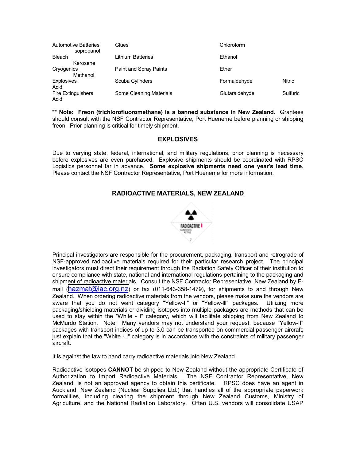<span id="page-21-0"></span>

| <b>Automotive Batteries</b><br><i><b>Isopropanol</b></i> | Glues                    | Chloroform     |               |
|----------------------------------------------------------|--------------------------|----------------|---------------|
| Bleach<br>Kerosene                                       | <b>Lithium Batteries</b> | Ethanol        |               |
| Cryogenics<br>Methanol                                   | Paint and Spray Paints   | Ether          |               |
| <b>Explosives</b><br>Acid                                | Scuba Cylinders          | Formaldehyde   | <b>Nitric</b> |
| <b>Fire Extinguishers</b><br>Acid                        | Some Cleaning Materials  | Glutaraldehyde | Sulfuric      |

**\*\* Note: Freon (trichlorofluoromethane) is a banned substance in New Zealand.** Grantees should consult with the NSF Contractor Representative, Port Hueneme before planning or shipping freon. Prior planning is critical for timely shipment.

#### **EXPLOSIVES**

Due to varying state, federal, international, and military regulations, prior planning is necessary before explosives are even purchased. Explosive shipments should be coordinated with RPSC Logistics personnel far in advance. **Some explosive shipments need one year's lead time**. Please contact the NSF Contractor Representative, Port Hueneme for more information.

## **RADIOACTIVE MATERIALS, NEW ZEALAND**



Principal investigators are responsible for the procurement, packaging, transport and retrograde of NSF-approved radioactive materials required for their particular research project. The principal investigators must direct their requirement through the Radiation Safety Officer of their institution to ensure compliance with state, national and international regulations pertaining to the packaging and shipment of radioactive materials. Consult the NSF Contractor Representative, New Zealand by E-mail [\(hazmat@iac.org.nz\)](mailto:hazmat@iac.org.nz) or fax (011-643-358-1479), for shipments to and through New Zealand. When ordering radioactive materials from the vendors, please make sure the vendors are aware that you do not want category "Yellow-II" or "Yellow-lll" packages. Utilizing more packaging/shielding materials or dividing isotopes into multiple packages are methods that can be used to stay within the "White - I" category, which will facilitate shipping from New Zealand to McMurdo Station. Note: Many vendors may not understand your request, because "Yellow-II" packages with transport indices of up to 3.0 can be transported on commercial passenger aircraft; just explain that the "White - I" category is in accordance with the constraints of military passenger aircraft.

It is against the law to hand carry radioactive materials into New Zealand.

Radioactive isotopes **CANNOT** be shipped to New Zealand without the appropriate Certificate of Authorization to Import Radioactive Materials. The NSF Contractor Representative, New Zealand, is not an approved agency to obtain this certificate. RPSC does have an agent in Auckland, New Zealand (Nuclear Supplies Ltd.) that handles all of the appropriate paperwork formalities, including clearing the shipment through New Zealand Customs, Ministry of Agriculture, and the National Radiation Laboratory. Often U.S. vendors will consolidate USAP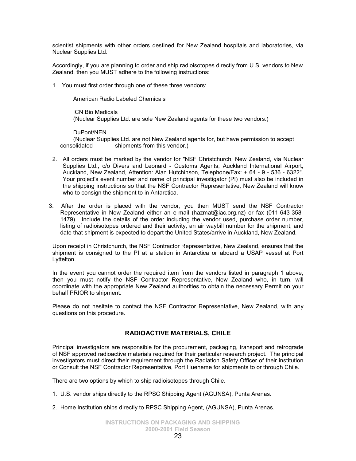<span id="page-22-0"></span>scientist shipments with other orders destined for New Zealand hospitals and laboratories, via Nuclear Supplies Ltd.

Accordingly, if you are planning to order and ship radioisotopes directly from U.S. vendors to New Zealand, then you MUST adhere to the following instructions:

1. You must first order through one of these three vendors:

American Radio Labeled Chemicals

 ICN Bio Medicals (Nuclear Supplies Ltd. are sole New Zealand agents for these two vendors.)

DuPont/NEN

 (Nuclear Supplies Ltd. are not New Zealand agents for, but have permission to accept consolidated shipments from this vendor.)

- 2. All orders must be marked by the vendor for "NSF Christchurch, New Zealand, via Nuclear Supplies Ltd., c/o Divers and Leonard - Customs Agents, Auckland International Airport, Auckland, New Zealand, Attention: Alan Hutchinson, Telephone/Fax: + 64 - 9 - 536 - 6322". Your project's event number and name of principal investigator (PI) must also be included in the shipping instructions so that the NSF Contractor Representative, New Zealand will know who to consign the shipment to in Antarctica.
- 3. After the order is placed with the vendor, you then MUST send the NSF Contractor Representative in New Zealand either an e-mail (hazmat@iac.org.nz) or fax (011-643-358- 1479). Include the details of the order including the vendor used, purchase order number, listing of radioisotopes ordered and their activity, an air waybill number for the shipment, and date that shipment is expected to depart the United States/arrive in Auckland, New Zealand.

Upon receipt in Christchurch, the NSF Contractor Representative, New Zealand, ensures that the shipment is consigned to the PI at a station in Antarctica or aboard a USAP vessel at Port Lyttelton.

In the event you cannot order the required item from the vendors listed in paragraph 1 above, then you must notify the NSF Contractor Representative, New Zealand who, in turn, will coordinate with the appropriate New Zealand authorities to obtain the necessary Permit on your behalf PRIOR to shipment.

Please do not hesitate to contact the NSF Contractor Representative, New Zealand, with any questions on this procedure.

#### **RADIOACTIVE MATERIALS, CHILE**

Principal investigators are responsible for the procurement, packaging, transport and retrograde of NSF approved radioactive materials required for their particular research project. The principal investigators must direct their requirement through the Radiation Safety Officer of their institution or Consult the NSF Contractor Representative, Port Hueneme for shipments to or through Chile.

There are two options by which to ship radioisotopes through Chile.

- 1. U.S. vendor ships directly to the RPSC Shipping Agent (AGUNSA), Punta Arenas.
- 2. Home Institution ships directly to RPSC Shipping Agent, (AGUNSA), Punta Arenas.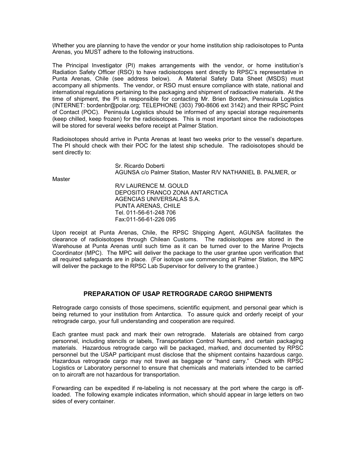<span id="page-23-0"></span>Whether you are planning to have the vendor or your home institution ship radioisotopes to Punta Arenas, you MUST adhere to the following instructions.

The Principal Investigator (PI) makes arrangements with the vendor, or home institution's Radiation Safety Officer (RSO) to have radioisotopes sent directly to RPSC's representative in Punta Arenas, Chile (see address below). A Material Safety Data Sheet (MSDS) must accompany all shipments. The vendor, or RSO must ensure compliance with state, national and international regulations pertaining to the packaging and shipment of radioactive materials. At the time of shipment, the PI is responsible for contacting Mr. Brien Borden, Peninsula Logistics (INTERNET: bordenbr@polar.org; TELEPHONE (303) 790-8606 ext 3142) and their RPSC Point of Contact (POC). Peninsula Logistics should be informed of any special storage requirements (keep chilled, keep frozen) for the radioisotopes. This is most important since the radioisotopes will be stored for several weeks before receipt at Palmer Station.

Radioisotopes should arrive in Punta Arenas at least two weeks prior to the vessel's departure. The PI should check with their POC for the latest ship schedule. The radioisotopes should be sent directly to:

> Sr. Ricardo Doberti AGUNSA c/o Palmer Station, Master R/V NATHANIEL B. PALMER, or

**Master** 

 R/V LAURENCE M. GOULD DEPOSITO FRANCO ZONA ANTARCTICA AGENCIAS UNIVERSALAS S.A. PUNTA ARENAS, CHILE Tel. 011-56-61-248 706 Fax:011-56-61-226 095

Upon receipt at Punta Arenas, Chile, the RPSC Shipping Agent, AGUNSA facilitates the clearance of radioisotopes through Chilean Customs. The radioisotopes are stored in the Warehouse at Punta Arenas until such time as it can be turned over to the Marine Projects Coordinator (MPC). The MPC will deliver the package to the user grantee upon verification that all required safeguards are in place. (For isotope use commencing at Palmer Station, the MPC will deliver the package to the RPSC Lab Supervisor for delivery to the grantee.)

#### **PREPARATION OF USAP RETROGRADE CARGO SHIPMENTS**

Retrograde cargo consists of those specimens, scientific equipment, and personal gear which is being returned to your institution from Antarctica. To assure quick and orderly receipt of your retrograde cargo, your full understanding and cooperation are required.

Each grantee must pack and mark their own retrograde. Materials are obtained from cargo personnel, including stencils or labels, Transportation Control Numbers, and certain packaging materials. Hazardous retrograde cargo will be packaged, marked, and documented by RPSC personnel but the USAP participant must disclose that the shipment contains hazardous cargo. Hazardous retrograde cargo may not travel as baggage or "hand carry." Check with RPSC Logistics or Laboratory personnel to ensure that chemicals and materials intended to be carried on to aircraft are not hazardous for transportation.

Forwarding can be expedited if re-labeling is not necessary at the port where the cargo is offloaded. The following example indicates information, which should appear in large letters on two sides of every container.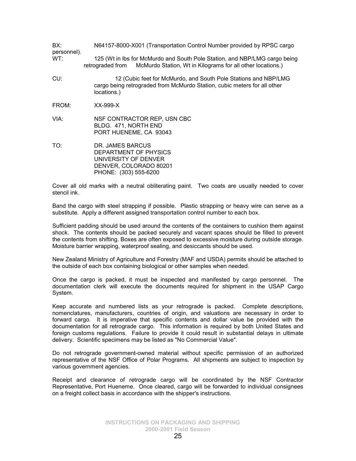BX: N64157-8000-X001 (Transportation Control Number provided by RPSC cargo personnel). WT: 125 (Wt in lbs for McMurdo and South Pole Station, and NBP/LMG cargo being

- retrograded from McMurdo Station, Wt in Kilograms for all other locations.)
- CU: 12 (Cubic feet for McMurdo, and South Pole Stations and NBP/LMG cargo being retrograded from McMurdo Station, cubic meters for all other locations.)
- FROM: XX-999-X
- VIA: NSF CONTRACTOR REP, USN CBC BLDG. 471, NORTH END PORT HUENEME, CA 93043
- TO: DR. JAMES BARCUS DEPARTMENT OF PHYSICS UNIVERSITY OF DENVER DENVER, COLORADO 80201 PHONE: (303) 555-6200

Cover all old marks with a neutral obliterating paint. Two coats are usually needed to cover stencil ink.

Band the cargo with steel strapping if possible. Plastic strapping or heavy wire can serve as a substitute. Apply a different assigned transportation control number to each box.

Sufficient padding should be used around the contents of the containers to cushion them against shock. The contents should be packed securely and vacant spaces should be filled to prevent the contents from shifting. Boxes are often exposed to excessive moisture during outside storage. Moisture barrier wrapping, waterproof sealing, and desiccants should be used.

New Zealand Ministry of Agriculture and Forestry (MAF and USDA) permits should be attached to the outside of each box containing biological or other samples when needed.

Once the cargo is packed, it must be inspected and manifested by cargo personnel. The documentation clerk will execute the documents required for shipment in the USAP Cargo System.

Keep accurate and numbered lists as your retrograde is packed. Complete descriptions, nomenclatures, manufacturers, countries of origin, and valuations are necessary in order to forward cargo. It is imperative that specific contents and dollar value be provided with the documentation for all retrograde cargo. This information is required by both United States and foreign customs regulations. Failure to provide it could result in substantial delays in ultimate delivery. Scientific specimens may be listed as "No Commercial Value".

Do not retrograde government-owned material without specific permission of an authorized representative of the NSF Office of Polar Programs. All shipments are subject to inspection by various government agencies.

Receipt and clearance of retrograde cargo will be coordinated by the NSF Contractor Representative, Port Hueneme. Once cleared, cargo will be forwarded to individual consignees on a freight collect basis in accordance with the shipper's instructions.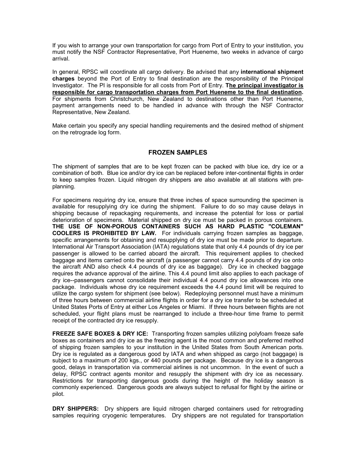<span id="page-25-0"></span>If you wish to arrange your own transportation for cargo from Port of Entry to your institution, you must notify the NSF Contractor Representative, Port Hueneme, two weeks in advance of cargo arrival.

In general, RPSC will coordinate all cargo delivery. Be advised that any **international shipment charges** beyond the Port of Entry to final destination are the responsibility of the Principal Investigator. The PI is responsible for all costs from Port of Entry. **The principal investigator is responsible for cargo transportation charges from Port Hueneme to the final destination.**  For shipments from Christchurch, New Zealand to destinations other than Port Hueneme, payment arrangements need to be handled in advance with through the NSF Contractor Representative, New Zealand.

Make certain you specify any special handling requirements and the desired method of shipment on the retrograde log form.

#### **FROZEN SAMPLES**

The shipment of samples that are to be kept frozen can be packed with blue ice, dry ice or a combination of both. Blue ice and/or dry ice can be replaced before inter-continental flights in order to keep samples frozen. Liquid nitrogen dry shippers are also available at all stations with preplanning.

For specimens requiring dry ice, ensure that three inches of space surrounding the specimen is available for resupplying dry ice during the shipment. Failure to do so may cause delays in shipping because of repackaging requirements, and increase the potential for loss or partial deterioration of specimens. Material shipped on dry ice must be packed in porous containers. **THE USE OF NON-POROUS CONTAINERS SUCH AS HARD PLASTIC "COLEMAN" COOLERS IS PROHIBITED BY LAW.** For individuals carrying frozen samples as baggage, specific arrangements for obtaining and resupplying of dry ice must be made prior to departure. International Air Transport Association (IATA) regulations state that only 4.4 pounds of dry ice per passenger is allowed to be carried aboard the aircraft. This requirement applies to checked baggage and items carried onto the aircraft (a passenger cannot carry 4.4 pounds of dry ice onto the aircraft AND also check 4.4 pounds of dry ice as baggage). Dry ice in checked baggage requires the advance approval of the airline. This 4.4 pound limit also applies to each package of dry ice--passengers cannot consolidate their individual 4.4 pound dry ice allowances into one package. Individuals whose dry ice requirement exceeds the 4.4 pound limit will be required to utilize the cargo system for shipment (see below). Redeploying personnel must have a minimum of three hours between commercial airline flights in order for a dry ice transfer to be scheduled at United States Ports of Entry at either Los Angeles or Miami. If three hours between flights are not scheduled, your flight plans must be rearranged to include a three-hour time frame to permit receipt of the contracted dry ice resupply.

**FREEZE SAFE BOXES & DRY ICE:** Transporting frozen samples utilizing polyfoam freeze safe boxes as containers and dry ice as the freezing agent is the most common and preferred method of shipping frozen samples to your institution in the United States from South American ports. Dry ice is regulated as a dangerous good by IATA and when shipped as cargo (not baggage) is subject to a maximum of 200 kgs., or 440 pounds per package. Because dry ice is a dangerous good, delays in transportation via commercial airlines is not uncommon. In the event of such a delay, RPSC contract agents monitor and resupply the shipment with dry ice as necessary. Restrictions for transporting dangerous goods during the height of the holiday season is commonly experienced. Dangerous goods are always subject to refusal for flight by the airline or pilot.

**DRY SHIPPERS:** Dry shippers are liquid nitrogen charged containers used for retrograding samples requiring cryogenic temperatures. Dry shippers are not regulated for transportation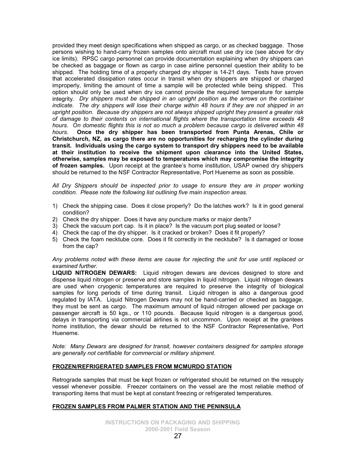provided they meet design specifications when shipped as cargo, or as checked baggage. Those persons wishing to hand-carry frozen samples onto aircraft must use dry ice (see above for dry ice limits). RPSC cargo personnel can provide documentation explaining when dry shippers can be checked as baggage or flown as cargo in case airline personnel question their ability to be shipped. The holding time of a properly charged dry shipper is 14-21 days. Tests have proven that accelerated dissipation rates occur in transit when dry shippers are shipped or charged improperly, limiting the amount of time a sample will be protected while being shipped. This option should only be used when dry ice cannot provide the required temperature for sample integrity. *Dry shippers must be shipped in an upright position as the arrows on the container indicate. The dry shippers will lose their charge within 48 hours if they are not shipped in an upright position. Because dry shippers are not always shipped upright they present a greater risk of damage to their contents on international flights where the transportation time exceeds 48 hours. On domestic flights this is not so much a problem because cargo is delivered within 48 hours.* **Once the dry shipper has been transported from Punta Arenas, Chile or Christchurch, NZ, as cargo there are no opportunities for recharging the cylinder during transit. Individuals using the cargo system to transport dry shippers need to be available at their institution to receive the shipment upon clearance into the United States, otherwise, samples may be exposed to temperatures which may compromise the integrity of frozen samples.** Upon receipt at the grantee's home institution, USAP owned dry shippers should be returned to the NSF Contractor Representative, Port Hueneme as soon as possible.

*All Dry Shippers should be inspected prior to usage to ensure they are in proper working condition. Please note the following list outlining five main inspection areas.* 

- 1) Check the shipping case. Does it close properly? Do the latches work? Is it in good general condition?
- 2) Check the dry shipper. Does it have any puncture marks or major dents?
- 3) Check the vacuum port cap. Is it in place? Is the vacuum port plug seated or loose?
- 4) Check the cap of the dry shipper. Is it cracked or broken? Does it fit properly?
- 5) Check the foam necktube core. Does it fit correctly in the necktube? Is it damaged or loose from the cap?

#### *Any problems noted with these items are cause for rejecting the unit for use until replaced or examined further.*

**LIQUID NITROGEN DEWARS:** Liquid nitrogen dewars are devices designed to store and dispense liquid nitrogen or preserve and store samples in liquid nitrogen. Liquid nitrogen dewars are used when cryogenic temperatures are required to preserve the integrity of biological samples for long periods of time during transit. Liquid nitrogen is also a dangerous good regulated by IATA. Liquid Nitrogen Dewars may not be hand-carried or checked as baggage, they must be sent as cargo. The maximum amount of liquid nitrogen allowed per package on passenger aircraft is 50 kgs., or 110 pounds. Because liquid nitrogen is a dangerous good, delays in transporting via commercial airlines is not uncommon. Upon receipt at the grantees home institution, the dewar should be returned to the NSF Contractor Representative, Port Hueneme.

*Note: Many Dewars are designed for transit, however containers designed for samples storage are generally not certifiable for commercial or military shipment.* 

#### **FROZEN/REFRIGERATED SAMPLES FROM MCMURDO STATION**

Retrograde samples that must be kept frozen or refrigerated should be returned on the resupply vessel whenever possible. Freezer containers on the vessel are the most reliable method of transporting items that must be kept at constant freezing or refrigerated temperatures.

#### **FROZEN SAMPLES FROM PALMER STATION AND THE PENINSULA**

**INSTRUCTIONS ON PACKAGING AND SHIPPING 2000-2001 Field Season**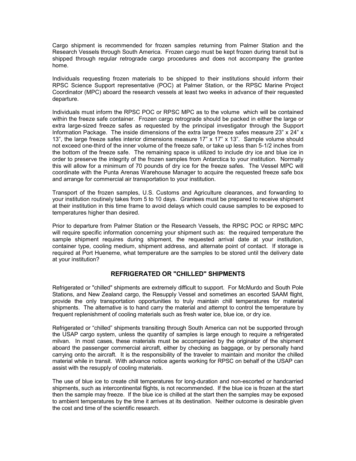<span id="page-27-0"></span>Cargo shipment is recommended for frozen samples returning from Palmer Station and the Research Vessels through South America. Frozen cargo must be kept frozen during transit but is shipped through regular retrograde cargo procedures and does not accompany the grantee home.

Individuals requesting frozen materials to be shipped to their institutions should inform their RPSC Science Support representative (POC) at Palmer Station, or the RPSC Marine Project Coordinator (MPC) aboard the research vessels at least two weeks in advance of their requested departure.

Individuals must inform the RPSC POC or RPSC MPC as to the volume which will be contained within the freeze safe container. Frozen cargo retrograde should be packed in either the large or extra large-sized freeze safes as requested by the principal investigator through the Support Information Package. The inside dimensions of the extra large freeze safes measure 23"  $\times$  24"  $\times$ 13", the large freeze safes interior dimensions measure 17" x 17" x 13". Sample volume should not exceed one-third of the inner volume of the freeze safe, or take up less than 5-1/2 inches from the bottom of the freeze safe. The remaining space is utilized to include dry ice and blue ice in order to preserve the integrity of the frozen samples from Antarctica to your institution. Normally this will allow for a minimum of 70 pounds of dry ice for the freeze safes. The Vessel MPC will coordinate with the Punta Arenas Warehouse Manager to acquire the requested freeze safe box and arrange for commercial air transportation to your institution.

Transport of the frozen samples, U.S. Customs and Agriculture clearances, and forwarding to your institution routinely takes from 5 to 10 days. Grantees must be prepared to receive shipment at their institution in this time frame to avoid delays which could cause samples to be exposed to temperatures higher than desired.

Prior to departure from Palmer Station or the Research Vessels, the RPSC POC or RPSC MPC will require specific information concerning your shipment such as: the required temperature the sample shipment requires during shipment, the requested arrival date at your institution, container type, cooling medium, shipment address, and alternate point of contact. If storage is required at Port Hueneme, what temperature are the samples to be stored until the delivery date at your institution?

#### **REFRIGERATED OR "CHILLED" SHIPMENTS**

Refrigerated or "chilled" shipments are extremely difficult to support. For McMurdo and South Pole Stations, and New Zealand cargo, the Resupply Vessel and sometimes an escorted SAAM flight, provide the only transportation opportunities to truly maintain chill temperatures for material shipments. The alternative is to hand carry the material and attempt to control the temperature by frequent replenishment of cooling materials such as fresh water ice, blue ice, or dry ice.

Refrigerated or "chilled" shipments transiting through South America can not be supported through the USAP cargo system, unless the quantity of samples is large enough to require a refrigerated milvan. In most cases, these materials must be accompanied by the originator of the shipment aboard the passenger commercial aircraft, either by checking as baggage, or by personally hand carrying onto the aircraft. It is the responsibility of the traveler to maintain and monitor the chilled material while in transit. With advance notice agents working for RPSC on behalf of the USAP can assist with the resupply of cooling materials.

The use of blue ice to create chill temperatures for long-duration and non-escorted or handcarried shipments, such as intercontinental flights, is not recommended. If the blue ice is frozen at the start then the sample may freeze. If the blue ice is chilled at the start then the samples may be exposed to ambient temperatures by the time it arrives at its destination. Neither outcome is desirable given the cost and time of the scientific research.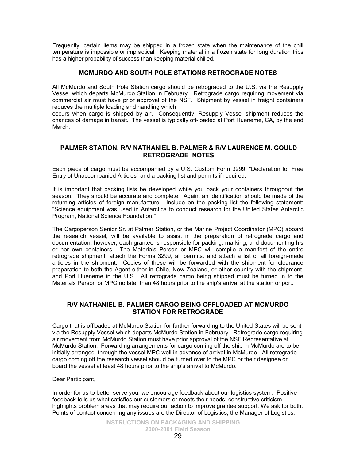<span id="page-28-0"></span>Frequently, certain items may be shipped in a frozen state when the maintenance of the chill temperature is impossible or impractical. Keeping material in a frozen state for long duration trips has a higher probability of success than keeping material chilled.

#### **MCMURDO AND SOUTH POLE STATIONS RETROGRADE NOTES**

All McMurdo and South Pole Station cargo should be retrograded to the U.S. via the Resupply Vessel which departs McMurdo Station in February. Retrograde cargo requiring movement via commercial air must have prior approval of the NSF. Shipment by vessel in freight containers reduces the multiple loading and handling which

occurs when cargo is shipped by air. Consequently, Resupply Vessel shipment reduces the chances of damage in transit. The vessel is typically off-loaded at Port Hueneme, CA, by the end March.

## **PALMER STATION, R/V NATHANIEL B. PALMER & R/V LAURENCE M. GOULD RETROGRADE NOTES**

Each piece of cargo must be accompanied by a U.S. Custom Form 3299, "Declaration for Free Entry of Unaccompanied Articles" and a packing list and permits if required.

It is important that packing lists be developed while you pack your containers throughout the season. They should be accurate and complete. Again, an identification should be made of the returning articles of foreign manufacture. Include on the packing list the following statement: "Science equipment was used in Antarctica to conduct research for the United States Antarctic Program, National Science Foundation."

The Cargoperson Senior Sr. at Palmer Station, or the Marine Project Coordinator (MPC) aboard the research vessel, will be available to assist in the preparation of retrograde cargo and documentation; however, each grantee is responsible for packing, marking, and documenting his or her own containers. The Materials Person or MPC will compile a manifest of the entire retrograde shipment, attach the Forms 3299, all permits, and attach a list of all foreign-made articles in the shipment. Copies of these will be forwarded with the shipment for clearance preparation to both the Agent either in Chile, New Zealand, or other country with the shipment, and Port Hueneme in the U.S. All retrograde cargo being shipped must be turned in to the Materials Person or MPC no later than 48 hours prior to the ship's arrival at the station or port.

## **R/V NATHANIEL B. PALMER CARGO BEING OFFLOADED AT MCMURDO STATION FOR RETROGRADE**

Cargo that is offloaded at McMurdo Station for further forwarding to the United States will be sent via the Resupply Vessel which departs McMurdo Station in February. Retrograde cargo requiring air movement from McMurdo Station must have prior approval of the NSF Representative at McMurdo Station. Forwarding arrangements for cargo coming off the ship in McMurdo are to be initially arranged through the vessel MPC well in advance of arrival in McMurdo. All retrograde cargo coming off the research vessel should be turned over to the MPC or their designee on board the vessel at least 48 hours prior to the ship's arrival to McMurdo.

Dear Participant,

In order for us to better serve you, we encourage feedback about our logistics system. Positive feedback tells us what satisfies our customers or meets their needs; constructive criticism highlights problem areas that may require our action to improve grantee support. We ask for both. Points of contact concerning any issues are the Director of Logistics, the Manager of Logistics,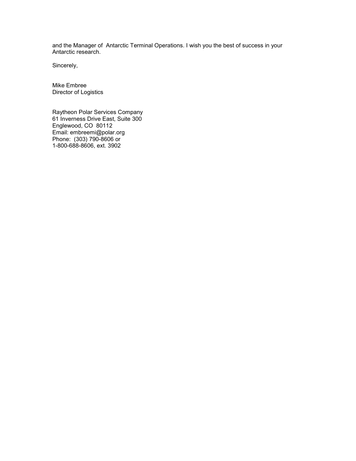and the Manager of Antarctic Terminal Operations. I wish you the best of success in your Antarctic research.

Sincerely,

Mike Embree Director of Logistics

Raytheon Polar Services Company 61 Inverness Drive East, Suite 300 Englewood, CO 80112 Email: embreemi@polar.org Phone: (303) 790-8606 or 1-800-688-8606, ext. 3902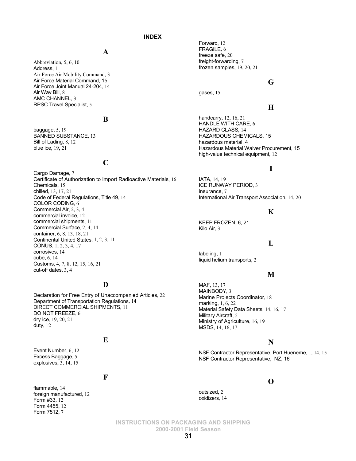#### **INDEX**

**A**

Abbreviation, 5, 6, 10 Address, 1 Air Force Air Mobility Command, 3 Air Force Material Command, 15 Air Force Joint Manual 24-204, 14 Air Way Bill, 8 AMC CHANNEL, 3 RPSC Travel Specialist, 5

#### **B**

baggage, 5, 19 BANNED SUBSTANCE, 13 Bill of Lading, 8, 12 blue ice, 19, 21

## **C**

Cargo Damage, 7 Certificate of Authorization to Import Radioactive Materials, 16 Chemicals, 15 chilled, 13, 17, 21 Code of Federal Regulations, Title 49, 14 COLOR CODING, 6 Commercial Air, 2, 3, 4 commercial invoice, 12 commercial shipments, 11 Commercial Surface, 2, 4, 14 container, 6, 8, 13, 18, 21 Continental United States, 1, 2, 3, 11 CONUS, 1, 2, 3, 4, 17 corrosives, 14 cube, 6, 14 Customs, 4, 7, 8, 12, 15, 16, 21 cut-off dates, 3, 4

#### **D**

Declaration for Free Entry of Unaccompanied Articles, 22 Department of Transportation Regulations, 14 DIRECT COMMERCIAL SHIPMENTS, 11 DO NOT FREEZE, 6 dry ice, 19, 20, 21 duty, 12

#### **E**

Event Number, 6, 12 Excess Baggage, 5 explosives, 3, 14, 15

#### **F**

flammable, 14 foreign manufactured, 12 Form #33, 12 Form 4455, 12 Form 7512, 7

Forward, 12 FRAGILE, 6 freeze safe, 20 freight-forwarding, 7 frozen samples, 19, 20, 21

#### **G**

gases, 15

## **H**

handcarry, 12, 16, 21 HANDLE WITH CARE, 6 HAZARD CLASS, 14 HAZARDOUS CHEMICALS, 15 hazardous material, 4 Hazardous Material Waiver Procurement, 15 high-value technical equipment, 12

#### **I**

IATA, 14, 19 ICE RUNWAY PERIOD, 3 insurance, 7 International Air Transport Association, 14, 20

## **K**

KEEP FROZEN, 6, 21 Kilo Air, 3

#### **L**

labeling, 1 liquid helium transports, 2

#### **M**

MAF, 13, 17 MAINBODY, 3 Marine Projects Coordinator, 18 marking, 1, 6, 22 Material Safety Data Sheets, 14, 16, 17 Military Aircraft, 5 Ministry of Agriculture, 16, 19 MSDS, 14, 16, 17

#### **N**

NSF Contractor Representative, Port Hueneme, 1, 14, 15 NSF Contractor Representative, NZ, 16

#### **O**

outsized, 2 oxidizers, 14

**INSTRUCTIONS ON PACKAGING AND SHIPPING 2000-2001 Field Season**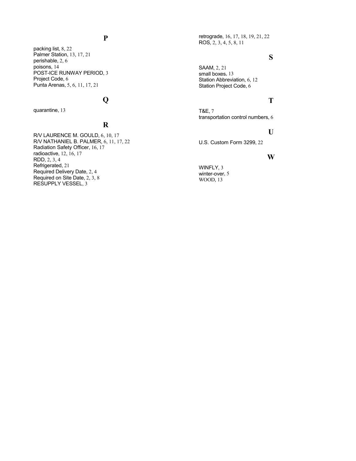## **P**

packing list, 8, 22 Palmer Station, 13, 17, 21 perishable, 2, 6 poisons, 14 POST-ICE RUNWAY PERIOD, 3 Project Code, 6 Punta Arenas, 5, 6, 11, 17, 21

## **Q**

## quarantine, 13

## **R**

R/V LAURENCE M. GOULD, 6, 10, 17 R/V NATHANIEL B. PALMER, 6, 11, 17, 22 Radiation Safety Officer, 16, 17 radioactive, 12, 16, 17 RDD, 2, 3, 4 Refrigerated, 21 Required Delivery Date, 2, 4 Required on Site Date, 2, 3, 8 RESUPPLY VESSEL, 3

retrograde, 16, 17, 18, 19, 21, 22 ROS, 2, 3, 4, 5, 8, 11

## **S**

SAAM, 2, 21 small boxes, 13 Station Abbreviation, 6, 12 Station Project Code, 6

## **T**

T&E, 7 transportation control numbers, 6

## **U**

U.S. Custom Form 3299, 22

#### **W**

WINFLY, 3 winter-over, 5 WOOD, 13